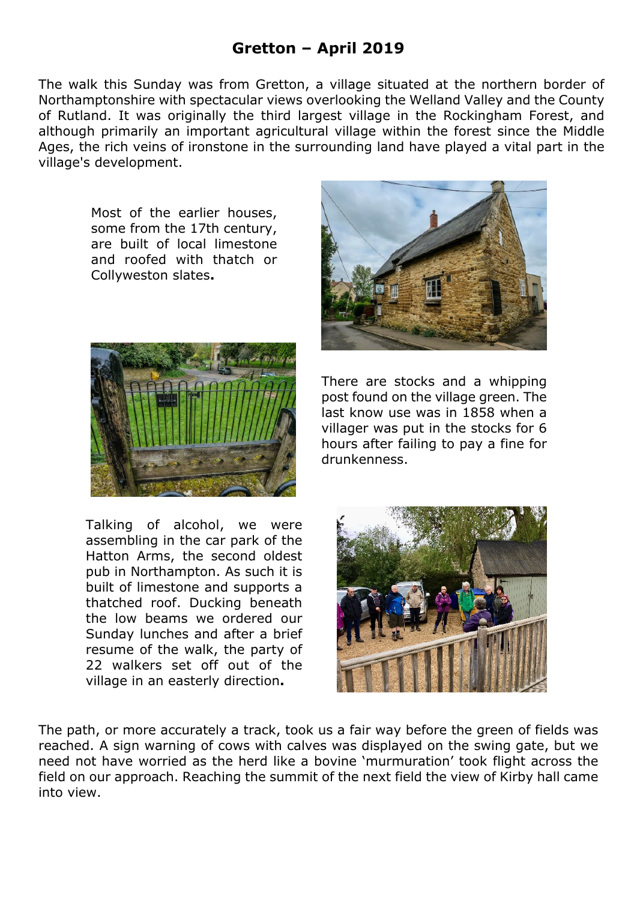## **Gretton – April 2019**

The walk this Sunday was from Gretton, a village situated at the northern border of Northamptonshire with spectacular views overlooking the Welland Valley and the County of Rutland. It was originally the third largest village in the Rockingham Forest, and although primarily an important agricultural village within the forest since the Middle Ages, the rich veins of ironstone in the surrounding land have played a vital part in the village's development.

Most of the earlier houses, some from the 17th century, are built of local limestone and roofed with thatch or Collyweston slates**.**



Talking of alcohol, we were assembling in the car park of the Hatton Arms, the second oldest pub in Northampton. As such it is built of limestone and supports a thatched roof. Ducking beneath the low beams we ordered our Sunday lunches and after a brief resume of the walk, the party of 22 walkers set off out of the village in an easterly direction**.**



There are stocks and a whipping post found on the village green. The last know use was in 1858 when a villager was put in the stocks for 6 hours after failing to pay a fine for drunkenness.



The path, or more accurately a track, took us a fair way before the green of fields was reached. A sign warning of cows with calves was displayed on the swing gate, but we need not have worried as the herd like a bovine 'murmuration' took flight across the field on our approach. Reaching the summit of the next field the view of Kirby hall came into view.